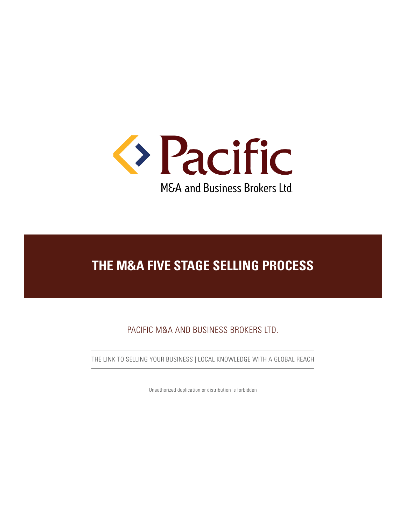

PACIFIC M&A AND BUSINESS BROKERS LTD.

THE LINK TO SELLING YOUR BUSINESS | LOCAL KNOWLEDGE WITH A GLOBAL REACH

Unauthorized duplication or distribution is forbidden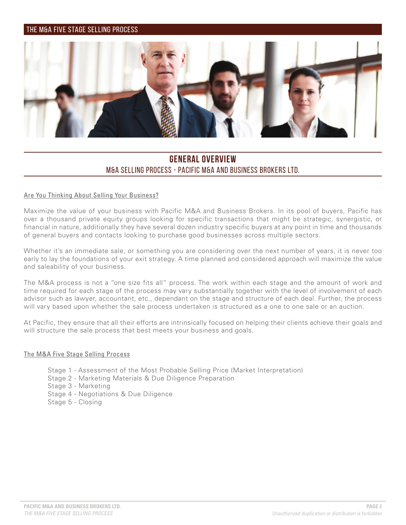

### **GENERAL OVERVIEW** M&A SELLING PROCESS - PACIFIC M&A AND BUSINESS BROKERS LTD.

#### Are You Thinking About Selling Your Business?

Maximize the value of your business with Pacific M&A and Business Brokers. In its pool of buyers, Pacific has over a thousand private equity groups looking for specific transactions that might be strategic, synergistic, or financial in nature, additionally they have several dozen industry specific buyers at any point in time and thousands of general buyers and contacts looking to purchase good businesses across multiple sectors.

Whether it's an immediate sale, or something you are considering over the next number of years, it is never too early to lay the foundations of your exit strategy. A time planned and considered approach will maximize the value and saleability of your business.

The M&A process is not a "one size fits all" process. The work within each stage and the amount of work and time required for each stage of the process may vary substantially together with the level of involvement of each advisor such as lawyer, accountant, etc., dependant on the stage and structure of each deal. Further, the process will vary based upon whether the sale process undertaken is structured as a one to one sale or an auction.

At Pacific, they ensure that all their efforts are intrinsically focused on helping their clients achieve their goals and will structure the sale process that best meets your business and goals.

#### The M&A Five Stage Selling Process

Stage 1 - Assessment of the Most Probable Selling Price (Market Interpretation) Stage 2 - Marketing Materials & Due Diligence Preparation Stage 3 - Marketing Stage 4 - Negotiations & Due Diligence Stage 5 - Closing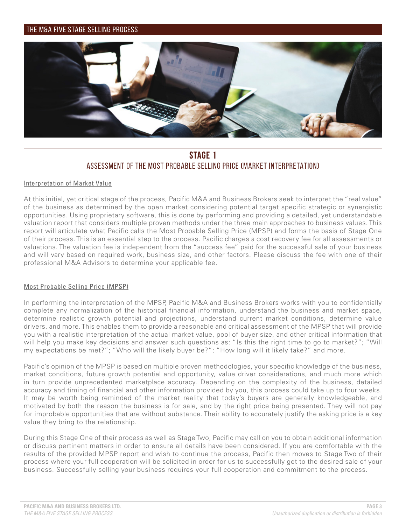

### **STAGE 1** ASSESSMENT OF THE MOST PROBABLE SELLING PRICE (MARKET INTERPRETATION)

#### Interpretation of Market Value

At this initial, yet critical stage of the process, Pacific M&A and Business Brokers seek to interpret the "real value" of the business as determined by the open market considering potential target specific strategic or synergistic opportunities. Using proprietary software, this is done by performing and providing a detailed, yet understandable valuation report that considers multiple proven methods under the three main approaches to business values. This report will articulate what Pacific calls the Most Probable Selling Price (MPSP) and forms the basis of Stage One of their process. This is an essential step to the process. Pacific charges a cost recovery fee for all assessments or valuations. The valuation fee is independent from the "success fee" paid for the successful sale of your business and will vary based on required work, business size, and other factors. Please discuss the fee with one of their professional M&A Advisors to determine your applicable fee.

#### Most Probable Selling Price (MPSP)

In performing the interpretation of the MPSP, Pacific M&A and Business Brokers works with you to confidentially complete any normalization of the historical financial information, understand the business and market space, determine realistic growth potential and projections, understand current market conditions, determine value drivers, and more. This enables them to provide a reasonable and critical assessment of the MPSP that will provide you with a realistic interpretation of the actual market value, pool of buyer size, and other critical information that will help you make key decisions and answer such questions as: "Is this the right time to go to market?"; "Will my expectations be met?"; "Who will the likely buyer be?"; "How long will it likely take?" and more.

Pacific's opinion of the MPSP is based on multiple proven methodologies, your specific knowledge of the business, market conditions, future growth potential and opportunity, value driver considerations, and much more which in turn provide unprecedented marketplace accuracy. Depending on the complexity of the business, detailed accuracy and timing of financial and other information provided by you, this process could take up to four weeks. It may be worth being reminded of the market reality that today's buyers are generally knowledgeable, and motivated by both the reason the business is for sale, and by the right price being presented. They will not pay for improbable opportunities that are without substance. Their ability to accurately justify the asking price is a key value they bring to the relationship.

During this Stage One of their process as well as Stage Two, Pacific may call on you to obtain additional information or discuss pertinent matters in order to ensure all details have been considered. If you are comfortable with the results of the provided MPSP report and wish to continue the process, Pacific then moves to Stage Two of their process where your full cooperation will be solicited in order for us to successfully get to the desired sale of your business. Successfully selling your business requires your full cooperation and commitment to the process.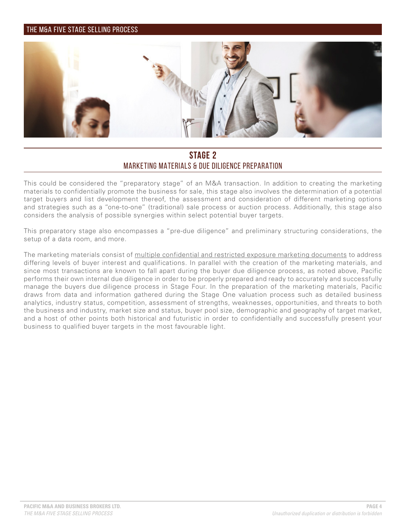

### **STAGE 2** MARKETING MATERIALS & DUE DILIGENCE PREPARATION

This could be considered the "preparatory stage" of an M&A transaction. In addition to creating the marketing materials to confidentially promote the business for sale, this stage also involves the determination of a potential target buyers and list development thereof, the assessment and consideration of different marketing options and strategies such as a "one-to-one" (traditional) sale process or auction process. Additionally, this stage also considers the analysis of possible synergies within select potential buyer targets.

This preparatory stage also encompasses a "pre-due diligence" and preliminary structuring considerations, the setup of a data room, and more.

The marketing materials consist of multiple confidential and restricted exposure marketing documents to address differing levels of buyer interest and qualifications. In parallel with the creation of the marketing materials, and since most transactions are known to fall apart during the buyer due diligence process, as noted above, Pacific performs their own internal due diligence in order to be properly prepared and ready to accurately and successfully manage the buyers due diligence process in Stage Four. In the preparation of the marketing materials, Pacific draws from data and information gathered during the Stage One valuation process such as detailed business analytics, industry status, competition, assessment of strengths, weaknesses, opportunities, and threats to both the business and industry, market size and status, buyer pool size, demographic and geography of target market, and a host of other points both historical and futuristic in order to confidentially and successfully present your business to qualified buyer targets in the most favourable light.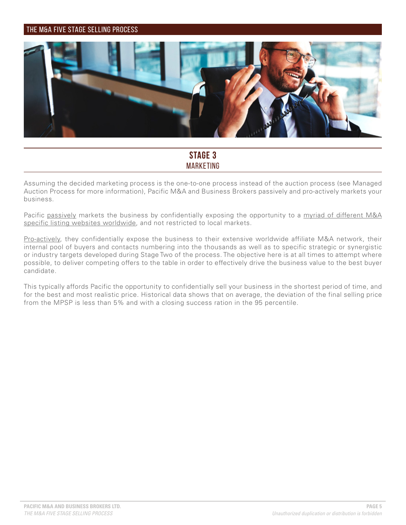

### **STAGE 3** MARKETING

Assuming the decided marketing process is the one-to-one process instead of the auction process (see Managed Auction Process for more information), Pacific M&A and Business Brokers passively and pro-actively markets your business.

Pacific passively markets the business by confidentially exposing the opportunity to a myriad of different M&A specific listing websites worldwide, and not restricted to local markets.

Pro-actively, they confidentially expose the business to their extensive worldwide affiliate M&A network, their internal pool of buyers and contacts numbering into the thousands as well as to specific strategic or synergistic or industry targets developed during Stage Two of the process. The objective here is at all times to attempt where possible, to deliver competing offers to the table in order to effectively drive the business value to the best buyer candidate.

This typically affords Pacific the opportunity to confidentially sell your business in the shortest period of time, and for the best and most realistic price. Historical data shows that on average, the deviation of the final selling price from the MPSP is less than 5% and with a closing success ration in the 95 percentile.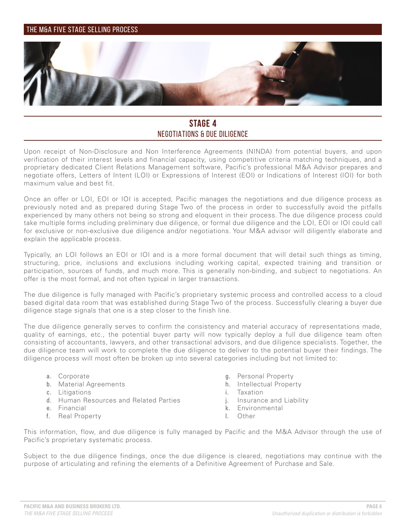

### **STAGE 4** NEGOTIATIONS & DUE DILIGENCE

Upon receipt of Non-Disclosure and Non Interference Agreements (NINDA) from potential buyers, and upon verification of their interest levels and financial capacity, using competitive criteria matching techniques, and a proprietary dedicated Client Relations Management software, Pacific's professional M&A Advisor prepares and negotiate offers, Letters of Intent (LOI) or Expressions of Interest (EOI) or Indications of Interest (IOI) for both maximum value and best fit.

Once an offer or LOI, EOI or IOI is accepted, Pacific manages the negotiations and due diligence process as previously noted and as prepared during Stage Two of the process in order to successfully avoid the pitfalls experienced by many others not being so strong and eloquent in their process. The due diligence process could take multiple forms including preliminary due diligence, or formal due diligence and the LOI, EOI or IOI could call for exclusive or non-exclusive due diligence and/or negotiations. Your M&A advisor will diligently elaborate and explain the applicable process.

Typically, an LOI follows an EOI or IOI and is a more formal document that will detail such things as timing, structuring, price, inclusions and exclusions including working capital, expected training and transition or participation, sources of funds, and much more. This is generally non-binding, and subject to negotiations. An offer is the most formal, and not often typical in larger transactions.

The due diligence is fully managed with Pacific's proprietary systemic process and controlled access to a cloud based digital data room that was established during Stage Two of the process. Successfully clearing a buyer due diligence stage signals that one is a step closer to the finish line.

The due diligence generally serves to confirm the consistency and material accuracy of representations made, quality of earnings, etc., the potential buyer party will now typically deploy a full due diligence team often consisting of accountants, lawyers, and other transactional advisors, and due diligence specialists. Together, the due diligence team will work to complete the due diligence to deliver to the potential buyer their findings. The diligence process will most often be broken up into several categories including but not limited to:

- a. Corporate
- b. Material Agreements
- c. Litigations
- d. Human Resources and Related Parties
- e. Financial
- f. Real Property
- g. Personal Property
- h. Intellectual Property
- i. Taxation
- j. Insurance and Liability
- k. Environmental
- l. Other

This information, flow, and due diligence is fully managed by Pacific and the M&A Advisor through the use of Pacific's proprietary systematic process.

Subject to the due diligence findings, once the due diligence is cleared, negotiations may continue with the purpose of articulating and refining the elements of a Definitive Agreement of Purchase and Sale.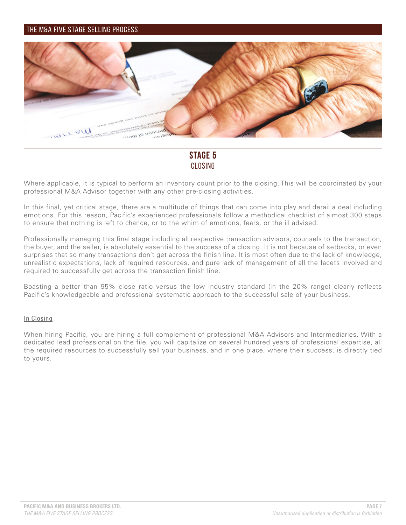

### **STAGE 5** CLOSING

Where applicable, it is typical to perform an inventory count prior to the closing. This will be coordinated by your professional M&A Advisor together with any other pre-closing activities.

In this final, yet critical stage, there are a multitude of things that can come into play and derail a deal including emotions. For this reason, Pacific's experienced professionals follow a methodical checklist of almost 300 steps to ensure that nothing is left to chance, or to the whim of emotions, fears, or the ill advised.

Professionally managing this final stage including all respective transaction advisors, counsels to the transaction, the buyer, and the seller, is absolutely essential to the success of a closing. It is not because of setbacks, or even surprises that so many transactions don't get across the finish line. It is most often due to the lack of knowledge, unrealistic expectations, lack of required resources, and pure lack of management of all the facets involved and required to successfully get across the transaction finish line.

Boasting a better than 95% close ratio versus the low industry standard (in the 20% range) clearly reflects Pacific's knowledgeable and professional systematic approach to the successful sale of your business.

#### In Closing

When hiring Pacific, you are hiring a full complement of professional M&A Advisors and Intermediaries. With a dedicated lead professional on the file, you will capitalize on several hundred years of professional expertise, all the required resources to successfully sell your business, and in one place, where their success, is directly tied to yours.